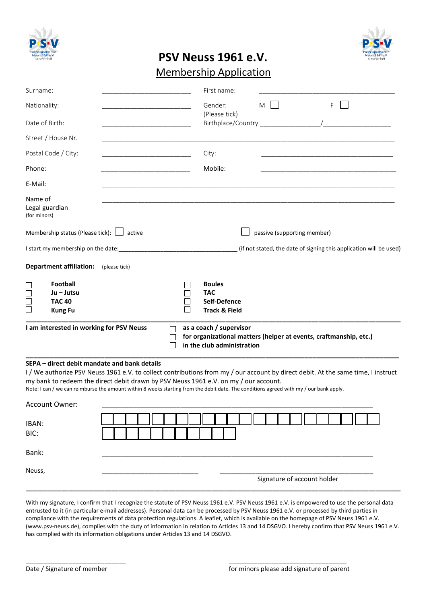



## **PSV Neuss 1961 e.V.**

## Membership Application

| Surname:                |                                                |                                                                                                                                                                                                                                                                                                                                                                                                                   |               | First name:                                           |                             |                                                                    |  |
|-------------------------|------------------------------------------------|-------------------------------------------------------------------------------------------------------------------------------------------------------------------------------------------------------------------------------------------------------------------------------------------------------------------------------------------------------------------------------------------------------------------|---------------|-------------------------------------------------------|-----------------------------|--------------------------------------------------------------------|--|
| Nationality:            |                                                |                                                                                                                                                                                                                                                                                                                                                                                                                   |               | Gender:<br>(Please tick)                              | M                           | F.                                                                 |  |
| Date of Birth:          |                                                |                                                                                                                                                                                                                                                                                                                                                                                                                   |               |                                                       |                             |                                                                    |  |
|                         | Street / House Nr.                             |                                                                                                                                                                                                                                                                                                                                                                                                                   |               |                                                       |                             |                                                                    |  |
|                         | Postal Code / City:                            |                                                                                                                                                                                                                                                                                                                                                                                                                   | City:         |                                                       |                             |                                                                    |  |
| Phone:                  |                                                |                                                                                                                                                                                                                                                                                                                                                                                                                   |               | Mobile:                                               |                             |                                                                    |  |
| E-Mail:                 |                                                |                                                                                                                                                                                                                                                                                                                                                                                                                   |               |                                                       |                             |                                                                    |  |
| Name of<br>(for minors) | Legal guardian                                 |                                                                                                                                                                                                                                                                                                                                                                                                                   |               |                                                       |                             |                                                                    |  |
|                         | Membership status (Please tick): $\Box$ active |                                                                                                                                                                                                                                                                                                                                                                                                                   |               |                                                       | passive (supporting member) |                                                                    |  |
|                         |                                                |                                                                                                                                                                                                                                                                                                                                                                                                                   |               |                                                       |                             | (if not stated, the date of signing this application will be used) |  |
|                         | <b>Department affiliation:</b>                 | (please tick)                                                                                                                                                                                                                                                                                                                                                                                                     |               |                                                       |                             |                                                                    |  |
|                         | Football                                       |                                                                                                                                                                                                                                                                                                                                                                                                                   | <b>Boules</b> |                                                       |                             |                                                                    |  |
| $\Box$                  | Ju – Jutsu                                     |                                                                                                                                                                                                                                                                                                                                                                                                                   | <b>TAC</b>    |                                                       |                             |                                                                    |  |
| $\Box$<br>$\Box$        | <b>TAC 40</b><br><b>Kung Fu</b>                |                                                                                                                                                                                                                                                                                                                                                                                                                   |               | Self-Defence<br><b>Track &amp; Field</b>              |                             |                                                                    |  |
|                         |                                                |                                                                                                                                                                                                                                                                                                                                                                                                                   |               |                                                       |                             |                                                                    |  |
|                         | I am interested in working for PSV Neuss       |                                                                                                                                                                                                                                                                                                                                                                                                                   |               | as a coach / supervisor<br>in the club administration |                             | for organizational matters (helper at events, craftmanship, etc.)  |  |
|                         |                                                | SEPA - direct debit mandate and bank details<br>I/We authorize PSV Neuss 1961 e.V. to collect contributions from my / our account by direct debit. At the same time, I instruct<br>my bank to redeem the direct debit drawn by PSV Neuss 1961 e.V. on my / our account.<br>Note: I can / we can reimburse the amount within 8 weeks starting from the debit date. The conditions agreed with my / our bank apply. |               |                                                       |                             |                                                                    |  |
|                         | Account Owner:                                 |                                                                                                                                                                                                                                                                                                                                                                                                                   |               |                                                       |                             |                                                                    |  |
| IBAN:<br>BIC:           |                                                |                                                                                                                                                                                                                                                                                                                                                                                                                   |               |                                                       |                             |                                                                    |  |
|                         |                                                |                                                                                                                                                                                                                                                                                                                                                                                                                   |               |                                                       |                             |                                                                    |  |
| Bank:                   |                                                |                                                                                                                                                                                                                                                                                                                                                                                                                   |               |                                                       |                             |                                                                    |  |
| Neuss,                  |                                                |                                                                                                                                                                                                                                                                                                                                                                                                                   |               |                                                       | Signature of account holder |                                                                    |  |
|                         |                                                |                                                                                                                                                                                                                                                                                                                                                                                                                   |               |                                                       |                             |                                                                    |  |

With my signature, I confirm that I recognize the statute of PSV Neuss 1961 e.V. PSV Neuss 1961 e.V. is empowered to use the personal data entrusted to it (in particular e-mail addresses). Personal data can be processed by PSV Neuss 1961 e.V. or processed by third parties in compliance with the requirements of data protection regulations. A leaflet, which is available on the homepage of PSV Neuss 1961 e.V. (www.psv-neuss.de), complies with the duty of information in relation to Articles 13 and 14 DSGVO. I hereby confirm that PSV Neuss 1961 e.V. has complied with its information obligations under Articles 13 and 14 DSGVO.

 $\overline{\phantom{a}}$  , and the contract of the contract of the contract of the contract of the contract of the contract of the contract of the contract of the contract of the contract of the contract of the contract of the contrac